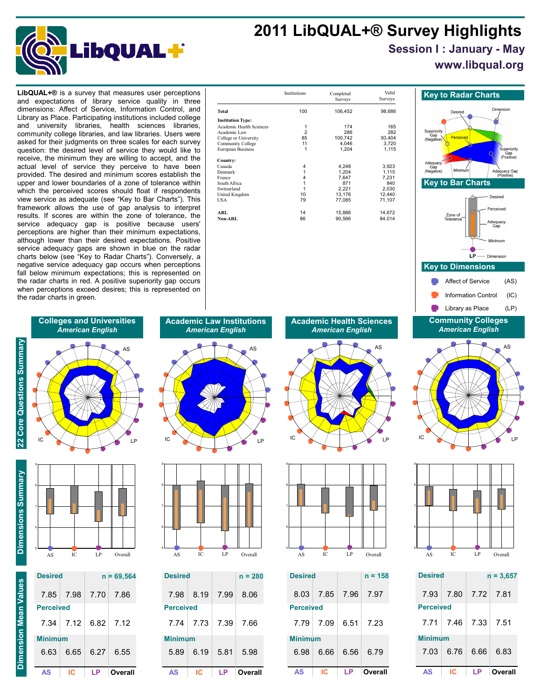## **2011 LibQUAL+® Survey Highlights**



### **Session I : January - May**

**www.libqual.org**

and expectations of library service quality in three dimensions: Affect of Service, Information Control, and Library as Place. Participating institutions included college and university libraries, health sciences libraries, community college libraries, and law libraries. Users were asked for their judgments on three scales for each survey question: the desired level of service they would like to receive, the minimum they are willing to accept, and the actual level of service they perceive to have been provided. The desired and minimum scores establish the upper and lower boundaries of a zone of tolerance within which the perceived scores should float if respondents view service as adequate (see "Key to Bar Charts"). This framework allows the use of gap analysis to interpret results. If scores are within the zone of tolerance, the service adequacy gap is positive because users' perceptions are higher than their minimum expectations, although lower than their desired expectations. Positive service adequacy gaps are shown in blue on the radar charts below (see "Key to Radar Charts"). Conversely, a negative service adequacy gap occurs when perceptions fall below minimum expectations; this is represented on the radar charts in red. A positive superiority gap occurs when perceptions exceed desires; this is represented on the radar charts in green.

| <b>LibQUAL+<math>\circledR</math></b> is a survey that measures user perceptions |                             | Institutions | Completed    | Valid        | <b>Key to Radar Charts</b>      |
|----------------------------------------------------------------------------------|-----------------------------|--------------|--------------|--------------|---------------------------------|
| and expectations of library service quality in three                             |                             |              | Surveys      | Surveys      |                                 |
| dimensions: Affect of Service. Information Control. and                          | Total                       | 100          | 106,452      | 98,686       | Dim<br>Desired                  |
| Library as Place. Participating institutions included college                    | <b>Institution Type:</b>    |              |              |              |                                 |
| and university libraries, health sciences<br>libraries.                          | Academic Health Sciences    |              | 174          | 165          |                                 |
| community college libraries, and law libraries. Users were                       | Academic Law                |              | 286          | 282          | Superiority                     |
|                                                                                  | College or University       | 85           | 100,742      | 93,404       | Perceived<br>(Negative)         |
| asked for their judgments on three scales for each survey                        | Community College           |              | 4,046        | 3.720        |                                 |
| question: the desired level of service they would like to                        | European Business           |              | 1,204        | 1,115        |                                 |
| receive, the minimum they are willing to accept, and the                         | Country:                    |              |              |              | Adequacy                        |
| actual level of service they perceive to have been                               | Canada                      |              | 4.248        | 3,923        |                                 |
| provided. The desired and minimum scores establish the                           | Denmark                     |              | 1.204        | 1.115        | Minimum<br>Ade<br>(Negative)    |
|                                                                                  | France                      |              | 7.647        | 7,231        |                                 |
| upper and lower boundaries of a zone of tolerance within                         | South Africa<br>Switzerland |              | 871<br>2,221 | 840<br>2,030 | <b>Key to Bar Charts</b>        |
| which the perceived scores should float if respondents                           | United Kingdom              | 10           | 13,176       | 12.440       |                                 |
| view service as adequate (see "Key to Bar Charts"). This                         | USA                         | 79           | 77,085       | 71,107       | Desir                           |
| framework allows the use of gap analysis to interpret                            |                             |              |              |              | Percei                          |
| results. If scores are within the zone of tolerance, the                         | ARL                         | 14           | 15,886       | 14,672       | Zone of                         |
|                                                                                  | <b>Non-ARL</b>              | 86           | 90,566       | 84,014       | Tolerance <sup>-</sup><br>Adequ |
| service adequacy gap is positive because users'                                  |                             |              |              |              | Ga                              |
| perceptions are bigher than their minimum expectations                           |                             |              |              |              |                                 |

Superiority<br>Gap<br>(Negative) Gap<br>(Positive) Adequacy<br>Gap<br>(Negative) /<br>Minimun Adequacy Gap<br>(Positive)  **Key to Bar Charts** Desired hevienne<sup>C</sup> Zone lequacy<br>Gap Minimum LP Dimension  **Key to Dimensions** Affect of Service (AS) Information Control (IC) Library as Place (LP) **Community Colleges** *American English* AS  $\sim$   $\sim$  11  $\sim$  1 IC  $\setminus$  /  $\setminus$   $\setminus$   $\setminus$  LP 9



| <b>Desired</b>   |      |           | $n = 3.657$ |
|------------------|------|-----------|-------------|
| 7.93             | 7.80 | 7.72 7.81 |             |
| <b>Perceived</b> |      |           |             |
| 7.71             | 7.46 | 7.33      | 7.51        |
| <b>Minimum</b>   |      |           |             |
| 7.03             | 6.76 | 6.66      | 6.83        |
| ΔS               | IC   |           | Overall     |

# *American English* AS

**Colleges and Universities**

IC  $\times$  /  $\mid$   $\mid$   $\times$  LP  $\sim$   $\sim$   $\sim$   $\sim$   $\sim$   $\sim$   $\sim$ 



**Dimension Mean Values**

**Dimension Mean Values** 

**22 Core Questions Summary**

22 Core Questions Summary



9

| AS               | IC.         |      | Overa        |
|------------------|-------------|------|--------------|
| 6.63             | 6.65        | 6.27 | 6.55         |
| <b>Minimum</b>   |             |      |              |
|                  | $7.34$ 7.12 |      | $6.82$ 7.12  |
| <b>Perceived</b> |             |      |              |
|                  | 7.85 7.98   |      | 7.70 7.86    |
| <b>Desired</b>   |             |      | $n = 69,564$ |
|                  |             |      |              |
|                  |             |      |              |

**Academic Law Institutions** *American English*





| <b>Desired</b>   |      |      | $n = 280$ |
|------------------|------|------|-----------|
| 7.98             | 8.19 | 7.99 | 8.06      |
| <b>Perceived</b> |      |      |           |
| 7.74             | 7.73 | 7.39 | 7.66      |
| <b>Minimum</b>   |      |      |           |
| 5.89             | 6.19 | 5.81 | 5.98      |
| AS               | IC   | LP   | Overall   |

**Academic Health Sciences** *American English*





| <b>Desired</b>   |      |      | $n = 158$ |
|------------------|------|------|-----------|
| 8.03             | 7.85 | 7.96 | 7.97      |
| <b>Perceived</b> |      |      |           |
| 7.79             | 7.09 | 6.51 | 7.23      |
| <b>Minimum</b>   |      |      |           |
| 6.98             | 6.66 | 6.56 | 6.79      |
| ΔS               | c    |      | Overall   |